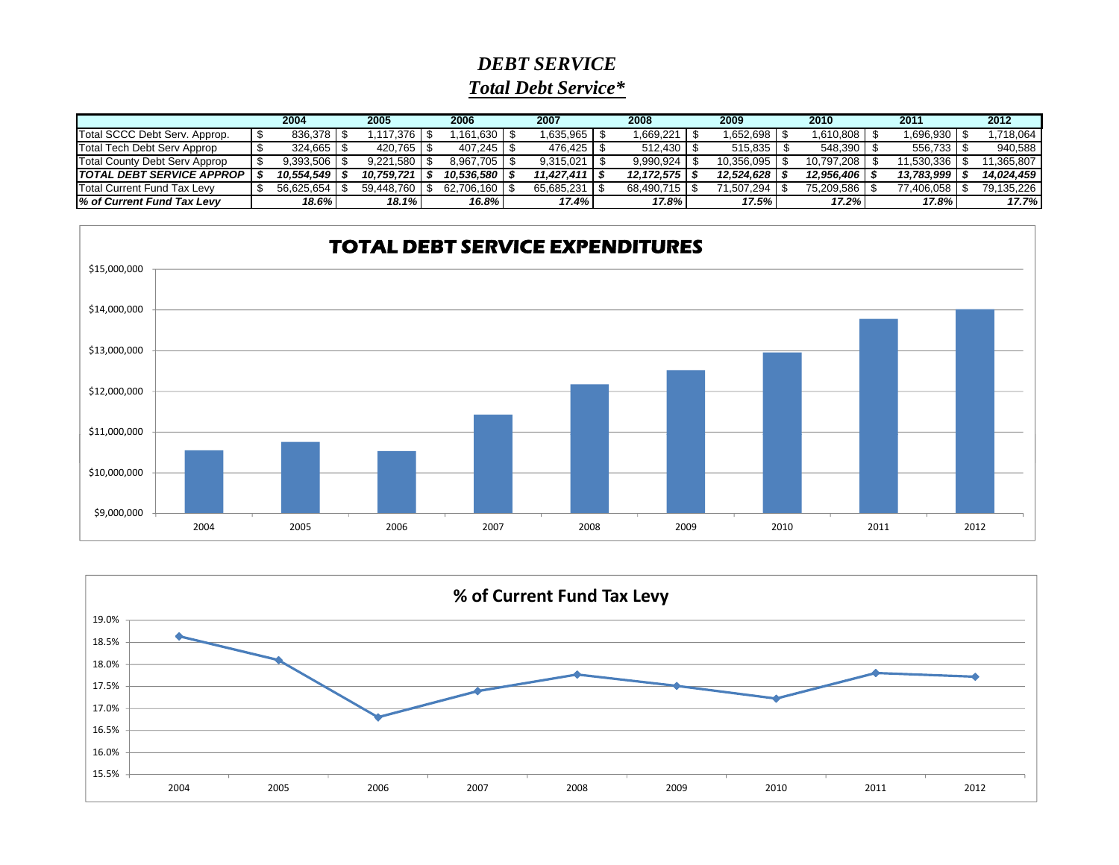## *DEBT SERVICETotal Debt Service\**

|                               | 2004 |            | 2005 |            | 2006 |                | 2007 |             | 2008 |            | 2009 |            | 2010 |            | 2011 |            | 2012 |            |
|-------------------------------|------|------------|------|------------|------|----------------|------|-------------|------|------------|------|------------|------|------------|------|------------|------|------------|
| Total SCCC Debt Serv. Approp. |      | 836.378    |      |            |      | $161,630$   \; |      | 0.635.965   |      | .669,221   |      | .652.698   |      | 1.610.808  |      | .696,930   |      | .718,064   |
| Total Tech Debt Serv Approp   |      | 324.665    |      |            |      |                |      | 476.425   9 |      | 512.430    |      | 515.835    |      | 548.390    |      | 556.733    |      | 940,588    |
| Total County Debt Serv Approp |      | 9,393,506  |      | 9.221.580  |      |                |      | 9.315.021   |      | 9,990,924  |      | 10.356.095 |      | 10.797.208 |      | 11,530,336 |      | 11,365,807 |
| TOTAL DEBT SERVICE APPROP     |      | 10.554.549 |      | 10.759.721 |      | 10.536.580 S   |      | 11,427,411  |      | 12,172,575 |      | 12.524.628 |      | 12,956,406 |      | 13.783.999 |      | 14.024.459 |
| Total Current Fund Tax Levy   |      | 56.625.654 |      | 59.448.760 |      | 62.706.160 \$  |      | 65,685,231  |      | 68.490.715 |      | 71,507,294 |      | 75.209.586 |      | 77,406,058 |      | 79,135,226 |
| l% of Current Fund Tax Levv   |      | 18.6%      |      | 18.1%      |      | 16.8%          |      | 17.4%       |      | 17.8%      |      | 17.5%      |      | 17.2%      |      | 17.8%      |      | 17.7%      |



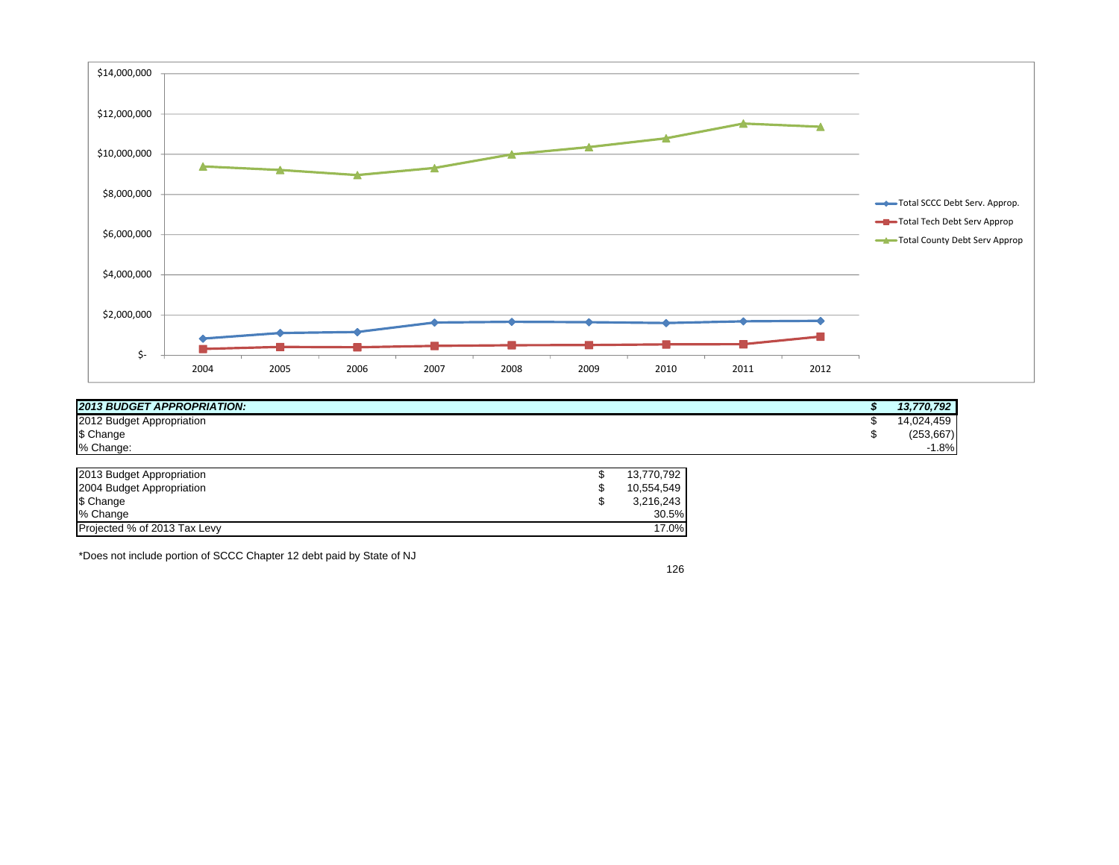

| <b>2013 BUDGET APPROPRIATION:</b> | 13,770,792     |
|-----------------------------------|----------------|
| 2012 Budget Appropriation         | 4,459<br>LOQ 1 |
| \$ Change                         | (253, 667)     |
| % Change:                         | 1.8%           |

| 2013 Budget Appropriation    | 13.770.792 |
|------------------------------|------------|
|                              |            |
| 2004 Budget Appropriation    | 10.554.549 |
|                              |            |
| \$ Change                    | 3,216,243  |
| % Change                     | 30.5%      |
|                              |            |
| Projected % of 2013 Tax Levy | 17.0%      |
|                              |            |

\*Does not include portion of SCCC Chapter 12 debt paid by State of NJ

126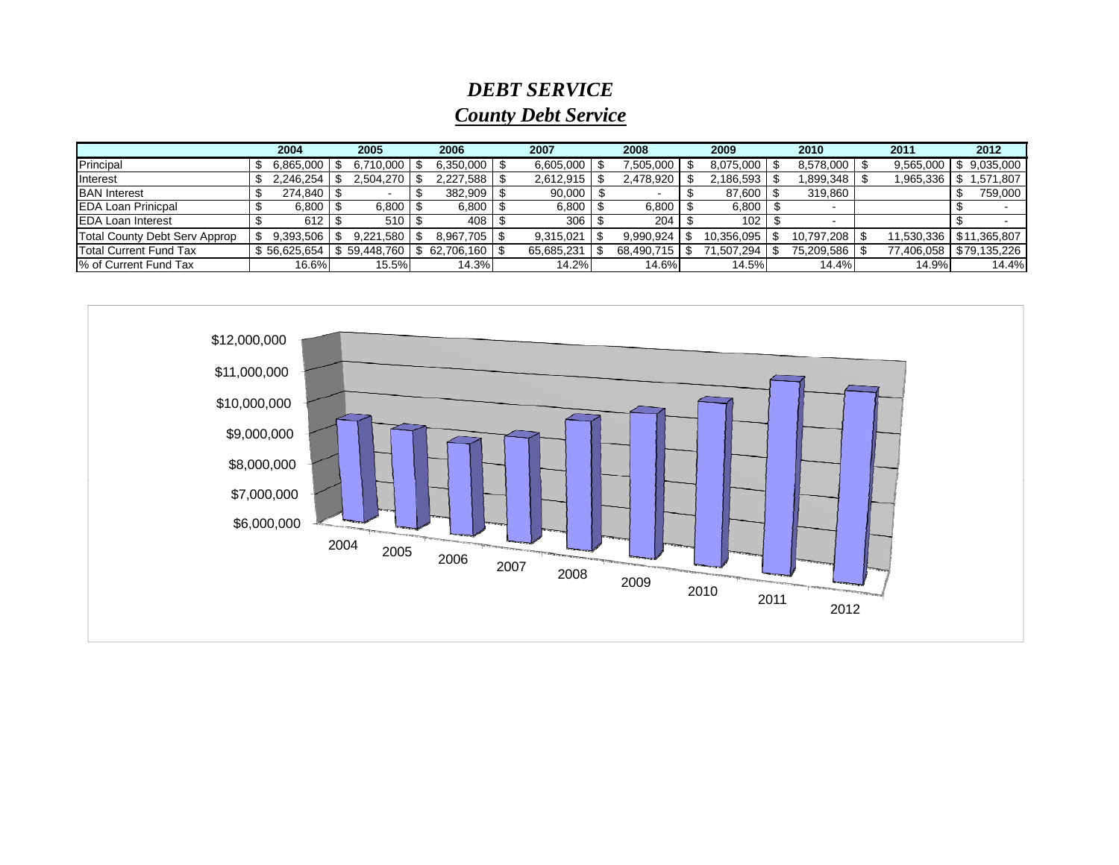## *DEBT SERVICE County Debt Service*

|                               | 2004 |              |  | 2005       |  | 2006       |  | 2007       |  | 2008       |  | 2009       |  | 2010       |  | 2011       |  | 2012         |
|-------------------------------|------|--------------|--|------------|--|------------|--|------------|--|------------|--|------------|--|------------|--|------------|--|--------------|
| Principal                     |      | 6,865,000    |  | 6.710.000  |  | 6,350,000  |  | 6,605,000  |  | 7,505,000  |  | 8,075,000  |  | 8,578,000  |  | 9,565,000  |  | 9,035,000    |
| <b>Interest</b>               |      | 2,246,254    |  | 2,504,270  |  | 2,227,588  |  | 2,612,915  |  | 2,478,920  |  | 2,186,593  |  | 1,899,348  |  | ,965,336   |  | 571,807      |
| <b>BAN</b> Interest           |      | 274,840      |  |            |  | 382,909    |  | 90,000     |  |            |  | 87,600     |  | 319,860    |  |            |  | 759,000      |
| <b>EDA Loan Prinicpal</b>     |      | 6,800        |  | 6,800      |  | 6,800      |  | 6,800      |  | 6,800      |  | 6,800      |  |            |  |            |  |              |
| <b>EDA Loan Interest</b>      |      | 612          |  | $510$   \$ |  | 408        |  | 306        |  | 204        |  | 102        |  |            |  |            |  |              |
| Total County Debt Serv Approp |      | 9.393.506    |  | 9.221.580  |  | 8.967.705  |  | 9,315,021  |  | 9,990,924  |  | 10,356,095 |  | 10,797,208 |  | 11.530.336 |  | \$11,365,807 |
| <b>Total Current Fund Tax</b> |      | \$56,625,654 |  | 59.448.760 |  | 62.706.160 |  | 65,685,231 |  | 68,490,715 |  | 1,507,294  |  | 75,209,586 |  | 77,406,058 |  | \$79,135,226 |
| 1% of Current Fund Tax        |      | 16.6%        |  | 15.5%      |  | 14.3%      |  | 14.2%      |  | 14.6%      |  | 14.5%      |  | 14.4%      |  | 14.9%      |  | 14.4%        |